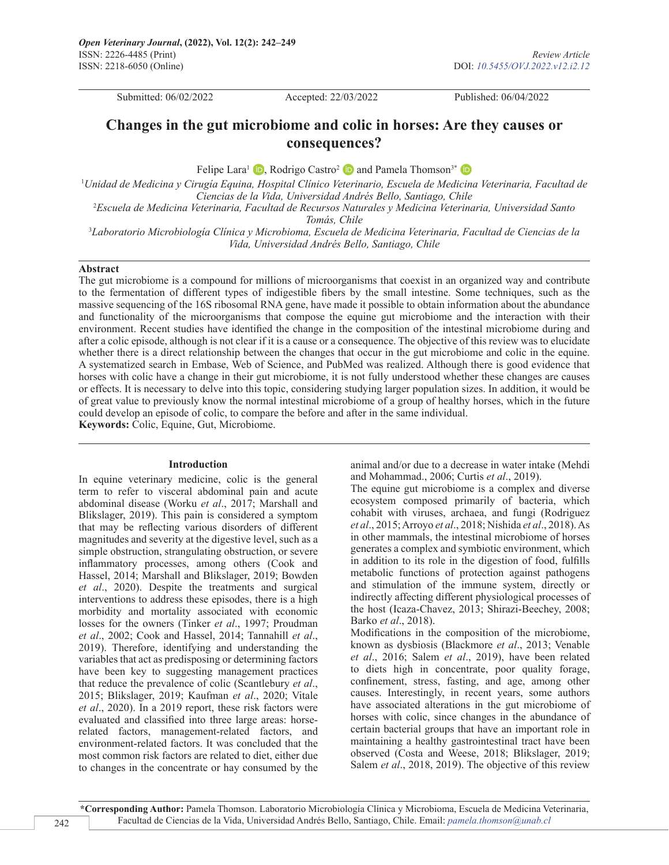Submitted: 06/02/2022 Accepted: 22/03/2022 Published: 06/04/2022

# **Changes in the gut microbiome and colic in horses: Are they causes or consequences?**

FelipeLara<sup>1</sup>  $\bullet$ [,](https://orcid.org/0000-0002-2087-0834) Rodrigo Castro<sup>2</sup>  $\bullet$  and Pamela Thomson<sup>3\*</sup>  $\bullet$ 

1 *Unidad de Medicina y Cirugía Equina, Hospital Clínico Veterinario, Escuela de Medicina Veterinaria, Facultad de Ciencias de la Vida, Universidad Andrés Bello, Santiago, Chile* 2 *Escuela de Medicina Veterinaria, Facultad de Recursos Naturales y Medicina Veterinaria, Universidad Santo* 

*Tomás, Chile*

3 *Laboratorio Microbiología Clínica y Microbioma, Escuela de Medicina Veterinaria, Facultad de Ciencias de la Vida, Universidad Andrés Bello, Santiago, Chile*

#### **Abstract**

The gut microbiome is a compound for millions of microorganisms that coexist in an organized way and contribute to the fermentation of different types of indigestible fibers by the small intestine. Some techniques, such as the massive sequencing of the 16S ribosomal RNA gene, have made it possible to obtain information about the abundance and functionality of the microorganisms that compose the equine gut microbiome and the interaction with their environment. Recent studies have identified the change in the composition of the intestinal microbiome during and after a colic episode, although is not clear if it is a cause or a consequence. The objective of this review was to elucidate whether there is a direct relationship between the changes that occur in the gut microbiome and colic in the equine. A systematized search in Embase, Web of Science, and PubMed was realized. Although there is good evidence that horses with colic have a change in their gut microbiome, it is not fully understood whether these changes are causes or effects. It is necessary to delve into this topic, considering studying larger population sizes. In addition, it would be of great value to previously know the normal intestinal microbiome of a group of healthy horses, which in the future could develop an episode of colic, to compare the before and after in the same individual. **Keywords:** Colic, Equine, Gut, Microbiome.

## **Introduction**

In equine veterinary medicine, colic is the general term to refer to visceral abdominal pain and acute abdominal disease (Worku *et al*., 2017; Marshall and Blikslager, 2019). This pain is considered a symptom that may be reflecting various disorders of different magnitudes and severity at the digestive level, such as a simple obstruction, strangulating obstruction, or severe inflammatory processes, among others (Cook and Hassel, 2014; Marshall and Blikslager, 2019; Bowden *et al*., 2020). Despite the treatments and surgical interventions to address these episodes, there is a high morbidity and mortality associated with economic losses for the owners (Tinker *et al*., 1997; Proudman *et al*., 2002; Cook and Hassel, 2014; Tannahill *et al*., 2019). Therefore, identifying and understanding the variables that act as predisposing or determining factors have been key to suggesting management practices that reduce the prevalence of colic (Scantlebury *et al*., 2015; Blikslager, 2019; Kaufman *et al*., 2020; Vitale *et al*., 2020). In a 2019 report, these risk factors were evaluated and classified into three large areas: horserelated factors, management-related factors, and environment-related factors. It was concluded that the most common risk factors are related to diet, either due to changes in the concentrate or hay consumed by the

animal and/or due to a decrease in water intake (Mehdi and Mohammad., 2006; Curtis *et al*., 2019).

The equine gut microbiome is a complex and diverse ecosystem composed primarily of bacteria, which cohabit with viruses, archaea, and fungi (Rodriguez *et al*., 2015; Arroyo *et al*., 2018; Nishida *et al*., 2018). As in other mammals, the intestinal microbiome of horses generates a complex and symbiotic environment, which in addition to its role in the digestion of food, fulfills metabolic functions of protection against pathogens and stimulation of the immune system, directly or indirectly affecting different physiological processes of the host (Icaza-Chavez, 2013; Shirazi-Beechey, 2008; Barko *et al*., 2018).

Modifications in the composition of the microbiome, known as dysbiosis (Blackmore *et al*., 2013; Venable *et al*., 2016; Salem *et al*., 2019), have been related to diets high in concentrate, poor quality forage, confinement, stress, fasting, and age, among other causes. Interestingly, in recent years, some authors have associated alterations in the gut microbiome of horses with colic, since changes in the abundance of certain bacterial groups that have an important role in maintaining a healthy gastrointestinal tract have been observed (Costa and Weese, 2018; Blikslager, 2019; Salem *et al*., 2018, 2019). The objective of this review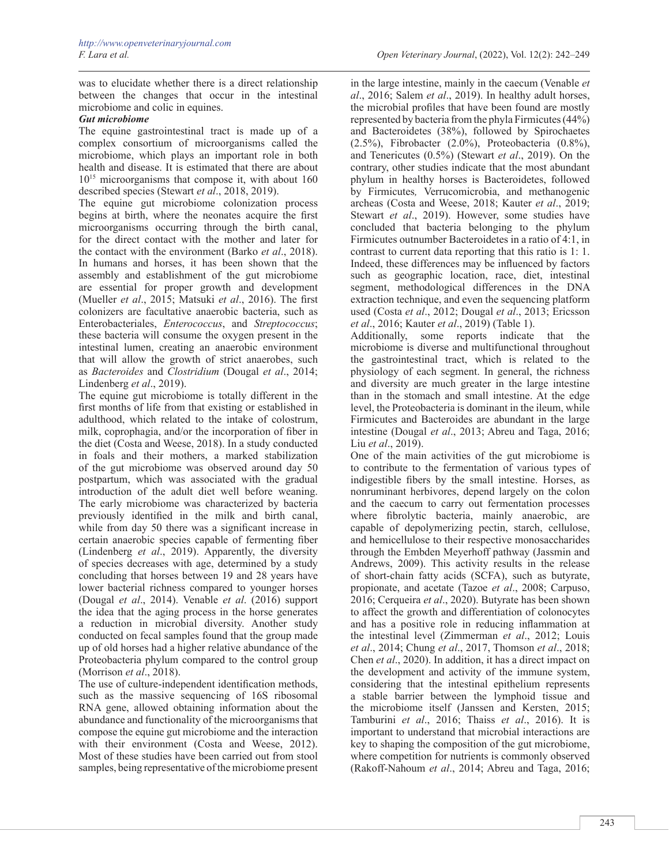was to elucidate whether there is a direct relationship between the changes that occur in the intestinal

microbiome and colic in equines.

# *Gut microbiome*

The equine gastrointestinal tract is made up of a complex consortium of microorganisms called the microbiome, which plays an important role in both health and disease. It is estimated that there are about 1015 microorganisms that compose it, with about 160 described species (Stewart *et al*., 2018, 2019).

The equine gut microbiome colonization process begins at birth, where the neonates acquire the first microorganisms occurring through the birth canal, for the direct contact with the mother and later for the contact with the environment (Barko *et al*., 2018). In humans and horses, it has been shown that the assembly and establishment of the gut microbiome are essential for proper growth and development (Mueller *et al*., 2015; Matsuki *et al*., 2016). The first colonizers are facultative anaerobic bacteria, such as Enterobacteriales, *Enterococcus*, and *Streptococcus*; these bacteria will consume the oxygen present in the intestinal lumen, creating an anaerobic environment that will allow the growth of strict anaerobes, such as *Bacteroides* and *Clostridium* (Dougal *et al*., 2014; Lindenberg *et al*., 2019).

The equine gut microbiome is totally different in the first months of life from that existing or established in adulthood, which related to the intake of colostrum, milk, coprophagia, and/or the incorporation of fiber in the diet (Costa and Weese, 2018). In a study conducted in foals and their mothers, a marked stabilization of the gut microbiome was observed around day 50 postpartum, which was associated with the gradual introduction of the adult diet well before weaning. The early microbiome was characterized by bacteria previously identified in the milk and birth canal, while from day 50 there was a significant increase in certain anaerobic species capable of fermenting fiber (Lindenberg *et al*., 2019). Apparently, the diversity of species decreases with age, determined by a study concluding that horses between 19 and 28 years have lower bacterial richness compared to younger horses (Dougal *et al*., 2014). Venable *et al*. (2016) support the idea that the aging process in the horse generates a reduction in microbial diversity. Another study conducted on fecal samples found that the group made up of old horses had a higher relative abundance of the Proteobacteria phylum compared to the control group (Morrison *et al*., 2018).

The use of culture-independent identification methods, such as the massive sequencing of 16S ribosomal RNA gene, allowed obtaining information about the abundance and functionality of the microorganisms that compose the equine gut microbiome and the interaction with their environment (Costa and Weese, 2012). Most of these studies have been carried out from stool samples, being representative of the microbiome present

in the large intestine, mainly in the caecum (Venable *et al*., 2016; Salem *et al*., 2019). In healthy adult horses, the microbial profiles that have been found are mostly represented by bacteria from the phyla Firmicutes (44%) and Bacteroidetes (38%), followed by Spirochaetes (2.5%), Fibrobacter (2.0%), Proteobacteria (0.8%), and Tenericutes (0.5%) (Stewart *et al*., 2019). On the contrary, other studies indicate that the most abundant phylum in healthy horses is Bacteroidetes, followed by Firmicutes*,* Verrucomicrobia, and methanogenic archeas (Costa and Weese, 2018; Kauter *et al*., 2019; Stewart *et al*., 2019). However, some studies have concluded that bacteria belonging to the phylum Firmicutes outnumber Bacteroidetes in a ratio of 4:1, in contrast to current data reporting that this ratio is 1: 1. Indeed, these differences may be influenced by factors such as geographic location, race, diet, intestinal segment, methodological differences in the DNA extraction technique, and even the sequencing platform used (Costa *et al*., 2012; Dougal *et al*., 2013; Ericsson *et al*., 2016; Kauter *et al*., 2019) (Table 1).

Additionally, some reports indicate that the microbiome is diverse and multifunctional throughout the gastrointestinal tract, which is related to the physiology of each segment. In general, the richness and diversity are much greater in the large intestine than in the stomach and small intestine. At the edge level, the Proteobacteria is dominant in the ileum, while Firmicutes and Bacteroides are abundant in the large intestine (Dougal *et al*., 2013; Abreu and Taga, 2016; Liu *et al*., 2019).

One of the main activities of the gut microbiome is to contribute to the fermentation of various types of indigestible fibers by the small intestine. Horses, as nonruminant herbivores, depend largely on the colon and the caecum to carry out fermentation processes where fibrolytic bacteria, mainly anaerobic, are capable of depolymerizing pectin, starch, cellulose, and hemicellulose to their respective monosaccharides through the Embden Meyerhoff pathway (Jassmin and Andrews, 2009). This activity results in the release of short-chain fatty acids (SCFA), such as butyrate, propionate, and acetate (Tazoe *et al*., 2008; Carpuso, 2016; Cerqueira *et al*., 2020). Butyrate has been shown to affect the growth and differentiation of colonocytes and has a positive role in reducing inflammation at the intestinal level (Zimmerman *et al*., 2012; Louis *et al*., 2014; Chung *et al*., 2017, Thomson *et al*., 2018; Chen *et al*., 2020). In addition, it has a direct impact on the development and activity of the immune system, considering that the intestinal epithelium represents a stable barrier between the lymphoid tissue and the microbiome itself (Janssen and Kersten, 2015; Tamburini *et al*., 2016; Thaiss *et al*., 2016). It is important to understand that microbial interactions are key to shaping the composition of the gut microbiome, where competition for nutrients is commonly observed (Rakoff-Nahoum *et al*., 2014; Abreu and Taga, 2016;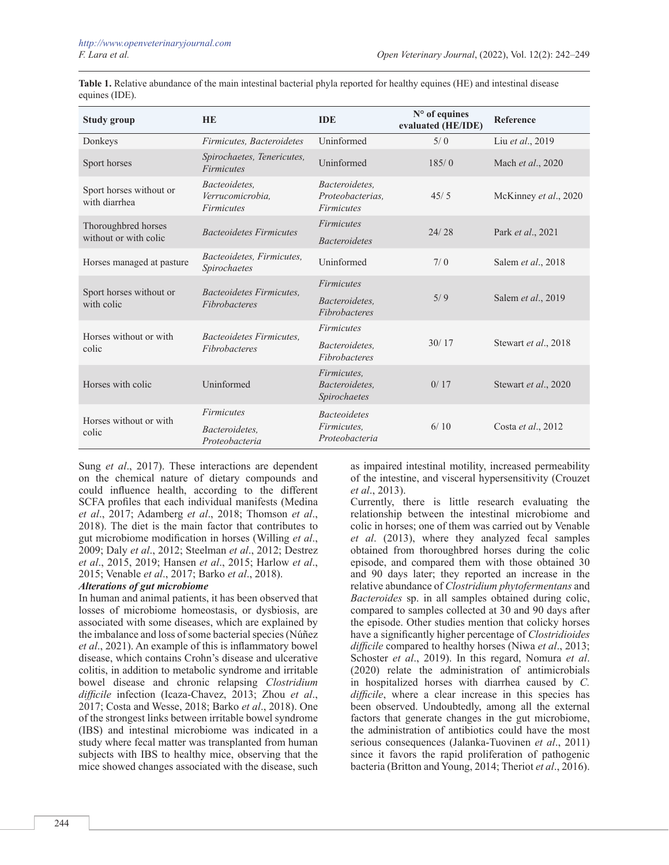| <b>Study group</b>                           | <b>HE</b>                                              | <b>IDE</b>                                              | N° of equines<br>evaluated (HE/IDE) | Reference             |
|----------------------------------------------|--------------------------------------------------------|---------------------------------------------------------|-------------------------------------|-----------------------|
| Donkeys                                      | Firmicutes, Bacteroidetes                              | Uninformed                                              | 5/0                                 | Liu et al., 2019      |
| Sport horses                                 | Spirochaetes, Tenericutes,<br><b>Firmicutes</b>        | Uninformed                                              | 185/0                               | Mach et al., 2020     |
| Sport horses without or<br>with diarrhea     | Bacteoidetes.<br>Verrucomicrobia,<br><b>Firmicutes</b> | Bacteroidetes.<br>Proteobacterias.<br><b>Firmicutes</b> | 45/5                                | McKinney et al., 2020 |
| Thoroughbred horses<br>without or with colic | <b>Bacteoidetes Firmicutes</b>                         | <b>Firmicutes</b>                                       | 24/28                               | Park et al., 2021     |
|                                              |                                                        | <b>Bacteroidetes</b>                                    |                                     |                       |
| Horses managed at pasture                    | Bacteoidetes, Firmicutes,<br>Spirochaetes              | Uninformed                                              | 7/0                                 | Salem et al., 2018    |
| Sport horses without or<br>with colic        | Bacteoidetes Firmicutes.<br>Fibrobacteres              | <b>Firmicutes</b>                                       | 5/9                                 | Salem et al., 2019    |
|                                              |                                                        | Bacteroidetes.<br>Fibrobacteres                         |                                     |                       |
| Horses without or with<br>colic              | Bacteoidetes Firmicutes.<br><b>Fibrobacteres</b>       | <i>Firmicutes</i>                                       | 30/17                               | Stewart et al., 2018  |
|                                              |                                                        | Bacteroidetes.<br>Fibrobacteres                         |                                     |                       |
| Horses with colic                            | Uninformed                                             | Firmicutes,<br>Bacteroidetes,<br>Spirochaetes           | 0/17                                | Stewart et al., 2020  |
| Horses without or with<br>colic              | <b>Firmicutes</b>                                      | <b>Bacteoidetes</b>                                     | 6/10                                | Costa et al., 2012    |
|                                              | Bacteroidetes.<br>Proteobacteria                       | Firmicutes.<br>Proteobacteria                           |                                     |                       |

**Table 1.** Relative abundance of the main intestinal bacterial phyla reported for healthy equines (HE) and intestinal disease equines (IDE).

Sung *et al*., 2017). These interactions are dependent on the chemical nature of dietary compounds and could influence health, according to the different SCFA profiles that each individual manifests (Medina *et al*., 2017; Adamberg *et al*., 2018; Thomson *et al*., 2018). The diet is the main factor that contributes to gut microbiome modification in horses (Willing *et al*., 2009; Daly *et al*., 2012; Steelman *et al*., 2012; Destrez *et al*., 2015, 2019; Hansen *et al*., 2015; Harlow *et al*., 2015; Venable *et al*., 2017; Barko *et al*., 2018).

# *Alterations of gut microbiome*

In human and animal patients, it has been observed that losses of microbiome homeostasis, or dysbiosis, are associated with some diseases, which are explained by the imbalance and loss of some bacterial species (Núñez *et al*., 2021). An example of this is inflammatory bowel disease, which contains Crohn's disease and ulcerative colitis, in addition to metabolic syndrome and irritable bowel disease and chronic relapsing *Clostridium difficile* infection (Icaza-Chavez, 2013; Zhou *et al*., 2017; Costa and Wesse, 2018; Barko *et al*., 2018). One of the strongest links between irritable bowel syndrome (IBS) and intestinal microbiome was indicated in a study where fecal matter was transplanted from human subjects with IBS to healthy mice, observing that the mice showed changes associated with the disease, such as impaired intestinal motility, increased permeability of the intestine, and visceral hypersensitivity (Crouzet *et al*., 2013).

Currently, there is little research evaluating the relationship between the intestinal microbiome and colic in horses; one of them was carried out by Venable *et al*. (2013), where they analyzed fecal samples obtained from thoroughbred horses during the colic episode, and compared them with those obtained 30 and 90 days later; they reported an increase in the relative abundance of *Clostridium phytofermentans* and *Bacteroides* sp. in all samples obtained during colic, compared to samples collected at 30 and 90 days after the episode. Other studies mention that colicky horses have a significantly higher percentage of *Clostridioides difficile* compared to healthy horses (Niwa *et al*., 2013; Schoster *et al*., 2019). In this regard, Nomura *et al*. (2020) relate the administration of antimicrobials in hospitalized horses with diarrhea caused by *C. difficile*, where a clear increase in this species has been observed. Undoubtedly, among all the external factors that generate changes in the gut microbiome, the administration of antibiotics could have the most serious consequences (Jalanka-Tuovinen *et al*., 2011) since it favors the rapid proliferation of pathogenic bacteria (Britton and Young, 2014; Theriot *et al*., 2016).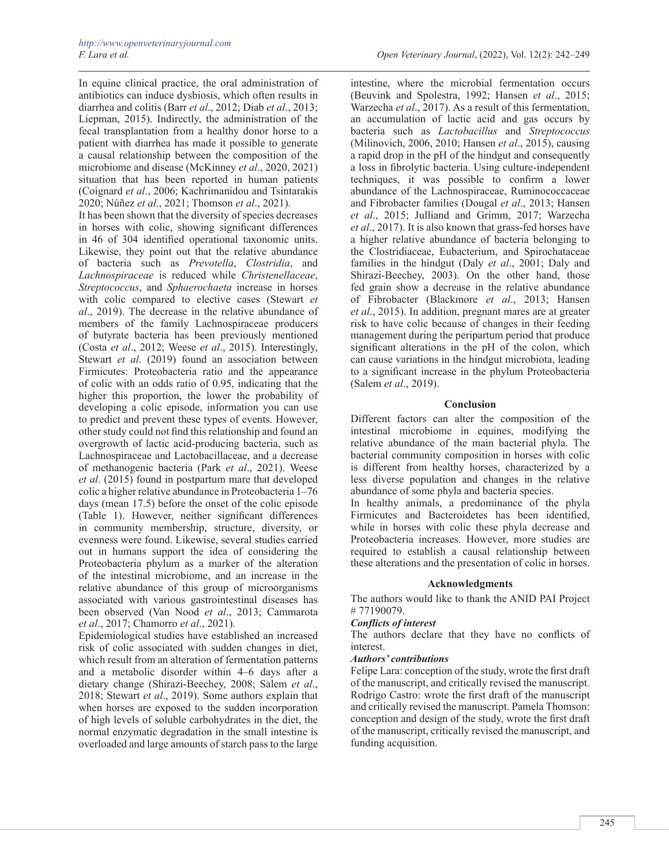In equine clinical practice, the oral administration of antibiotics can induce dysbiosis, which often results in diarrhea and colitis (Barr *et al*., 2012; Diab *et al*., 2013; Liepman, 2015). Indirectly, the administration of the fecal transplantation from a healthy donor horse to a patient with diarrhea has made it possible to generate a causal relationship between the composition of the microbiome and disease (McKinney *et al*., 2020, 2021) situation that has been reported in human patients (Coignard *et al*., 2006; Kachrimanidou and Tsintarakis 2020; Núñez *et al*., 2021; Thomson *et al*., 2021).

It has been shown that the diversity of species decreases in horses with colic, showing significant differences in 46 of 304 identified operational taxonomic units. Likewise, they point out that the relative abundance of bacteria such as *Prevotella*, *Clostridia*, and *Lachnospiraceae* is reduced while *Christenellaceae*, *Streptococcus*, and *Sphaerochaeta* increase in horses with colic compared to elective cases (Stewart *et al*., 2019). The decrease in the relative abundance of members of the family Lachnospiraceae producers of butyrate bacteria has been previously mentioned (Costa *et al*., 2012; Weese *et al*., 2015). Interestingly, Stewart *et al*. (2019) found an association between Firmicutes: Proteobacteria ratio and the appearance of colic with an odds ratio of 0.95, indicating that the higher this proportion, the lower the probability of developing a colic episode, information you can use to predict and prevent these types of events. However, other study could not find this relationship and found an overgrowth of lactic acid-producing bacteria, such as Lachnospiraceae and Lactobacillaceae, and a decrease of methanogenic bacteria (Park *et al*., 2021). Weese *et al*. (2015) found in postpartum mare that developed colic a higher relative abundance in Proteobacteria 1–76 days (mean 17.5) before the onset of the colic episode (Table 1). However, neither significant differences in community membership, structure, diversity, or evenness were found. Likewise, several studies carried out in humans support the idea of considering the Proteobacteria phylum as a marker of the alteration of the intestinal microbiome, and an increase in the relative abundance of this group of microorganisms associated with various gastrointestinal diseases has been observed (Van Nood *et al*., 2013; Cammarota *et al*., 2017; Chamorro *et al*., 2021).

Epidemiological studies have established an increased risk of colic associated with sudden changes in diet, which result from an alteration of fermentation patterns and a metabolic disorder within 4–6 days after a dietary change (Shirazi-Beechey, 2008; Salem *et al*., 2018; Stewart *et al*., 2019). Some authors explain that when horses are exposed to the sudden incorporation of high levels of soluble carbohydrates in the diet, the normal enzymatic degradation in the small intestine is overloaded and large amounts of starch pass to the large

intestine, where the microbial fermentation occurs (Beuvink and Spolestra, 1992; Hansen *et al*., 2015; Warzecha *et al*., 2017). As a result of this fermentation, an accumulation of lactic acid and gas occurs by bacteria such as *Lactobacillus* and *Streptococcus* (Milinovich, 2006, 2010; Hansen *et al*., 2015), causing a rapid drop in the pH of the hindgut and consequently a loss in fibrolytic bacteria. Using culture-independent techniques, it was possible to confirm a lower abundance of the Lachnospiraceae, Ruminococcaceae and Fibrobacter families (Dougal *et al*., 2013; Hansen *et al*., 2015; Julliand and Grimm, 2017; Warzecha *et al*., 2017). It is also known that grass-fed horses have a higher relative abundance of bacteria belonging to the Clostridiaceae, Eubacterium, and Spirochataceae families in the hindgut (Daly *et al*., 2001; Daly and Shirazi-Beechey, 2003). On the other hand, those fed grain show a decrease in the relative abundance of Fibrobacter (Blackmore *et al*., 2013; Hansen *et al*., 2015). In addition, pregnant mares are at greater risk to have colic because of changes in their feeding management during the peripartum period that produce significant alterations in the pH of the colon, which can cause variations in the hindgut microbiota, leading to a significant increase in the phylum Proteobacteria (Salem *et al*., 2019).

### **Conclusion**

Different factors can alter the composition of the intestinal microbiome in equines, modifying the relative abundance of the main bacterial phyla. The bacterial community composition in horses with colic is different from healthy horses, characterized by a less diverse population and changes in the relative abundance of some phyla and bacteria species.

In healthy animals, a predominance of the phyla Firmicutes and Bacteroidetes has been identified, while in horses with colic these phyla decrease and Proteobacteria increases. However, more studies are required to establish a causal relationship between these alterations and the presentation of colic in horses.

### **Acknowledgments**

The authors would like to thank the ANID PAI Project # 77190079.

#### *Conflicts of interest*

The authors declare that they have no conflicts of interest.

#### *Authors' contributions*

Felipe Lara: conception of the study, wrote the first draft of the manuscript, and critically revised the manuscript. Rodrigo Castro: wrote the first draft of the manuscript and critically revised the manuscript. Pamela Thomson: conception and design of the study, wrote the first draft of the manuscript, critically revised the manuscript, and funding acquisition.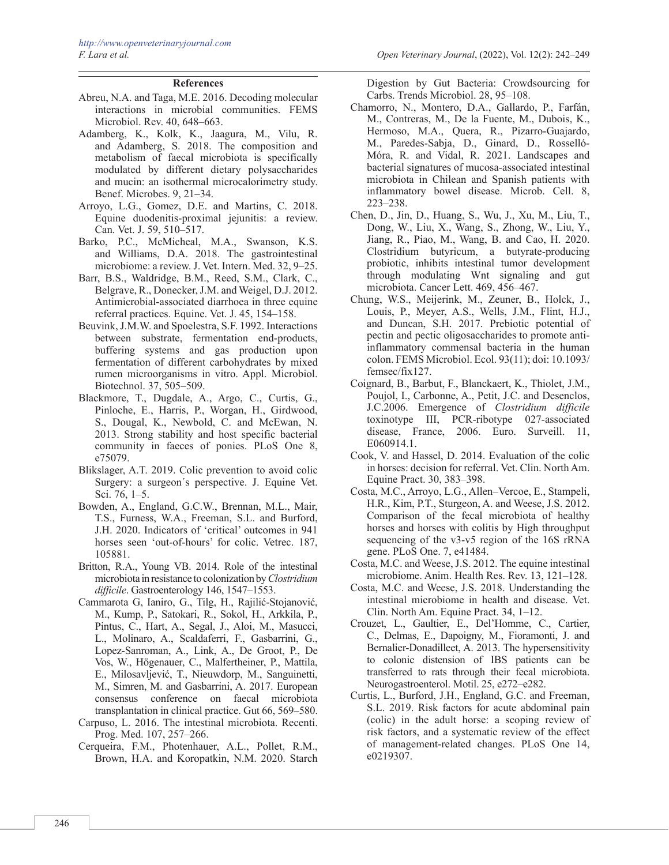## **References**

- Abreu, N.A. and Taga, M.E. 2016. Decoding molecular interactions in microbial communities. FEMS Microbiol. Rev. 40, 648–663.
- Adamberg, K., Kolk, K., Jaagura, M., Vilu, R. and Adamberg, S. 2018. The composition and metabolism of faecal microbiota is specifically modulated by different dietary polysaccharides and mucin: an isothermal microcalorimetry study. Benef. Microbes. 9, 21–34.
- Arroyo, L.G., Gomez, D.E. and Martins, C. 2018. Equine duodenitis-proximal jejunitis: a review. Can. Vet. J. 59, 510–517.
- Barko, P.C., McMicheal, M.A., Swanson, K.S. and Williams, D.A. 2018. The gastrointestinal microbiome: a review. J. Vet. Intern. Med. 32, 9–25.
- Barr, B.S., Waldridge, B.M., Reed, S.M., Clark, C., Belgrave, R., Donecker, J.M. and Weigel, D.J. 2012. Antimicrobial-associated diarrhoea in three equine referral practices. Equine. Vet. J. 45, 154–158.
- Beuvink, J.M.W. and Spoelestra, S.F. 1992. Interactions between substrate, fermentation end-products, buffering systems and gas production upon fermentation of different carbohydrates by mixed rumen microorganisms in vitro. Appl. Microbiol. Biotechnol. 37, 505–509.
- Blackmore, T., Dugdale, A., Argo, C., Curtis, G., Pinloche, E., Harris, P., Worgan, H., Girdwood, S., Dougal, K., Newbold, C. and McEwan, N. 2013. Strong stability and host specific bacterial community in faeces of ponies. PLoS One 8, e75079.
- Blikslager, A.T. 2019. Colic prevention to avoid colic Surgery: a surgeon´s perspective. J. Equine Vet. Sci. 76, 1–5.
- Bowden, A., England, G.C.W., Brennan, M.L., Mair, T.S., Furness, W.A., Freeman, S.L. and Burford, J.H. 2020. Indicators of 'critical' outcomes in 941 horses seen 'out-of-hours' for colic. Vetrec. 187, 105881.
- Britton, R.A., Young VB. 2014. Role of the intestinal microbiota in resistance to colonization by *Clostridium difficile*. Gastroenterology 146, 1547–1553.
- Cammarota G, Ianiro, G., Tilg, H., Rajilić-Stojanović, M., Kump, P., Satokari, R., Sokol, H., Arkkila, P., Pintus, C., Hart, A., Segal, J., Aloi, M., Masucci, L., Molinaro, A., Scaldaferri, F., Gasbarrini, G., Lopez-Sanroman, A., Link, A., De Groot, P., De Vos, W., Högenauer, C., Malfertheiner, P., Mattila, E., Milosavljević, T., Nieuwdorp, M., Sanguinetti, M., Simren, M. and Gasbarrini, A. 2017. European consensus conference on faecal microbiota transplantation in clinical practice. Gut 66, 569–580.
- Carpuso, L. 2016. The intestinal microbiota. Recenti. Prog. Med. 107, 257–266.
- Cerqueira, F.M., Photenhauer, A.L., Pollet, R.M., Brown, H.A. and Koropatkin, N.M. 2020. Starch

Digestion by Gut Bacteria: Crowdsourcing for Carbs. Trends Microbiol. 28, 95–108.

- Chamorro, N., Montero, D.A., Gallardo, P., Farfán, M., Contreras, M., De la Fuente, M., Dubois, K., Hermoso, M.A., Quera, R., Pizarro-Guajardo, M., Paredes-Sabja, D., Ginard, D., Rosselló-Móra, R. and Vidal, R. 2021. Landscapes and bacterial signatures of mucosa-associated intestinal microbiota in Chilean and Spanish patients with inflammatory bowel disease. Microb. Cell. 8, 223–238.
- Chen, D., Jin, D., Huang, S., Wu, J., Xu, M., Liu, T., Dong, W., Liu, X., Wang, S., Zhong, W., Liu, Y., Jiang, R., Piao, M., Wang, B. and Cao, H. 2020. Clostridium butyricum, a butyrate-producing probiotic, inhibits intestinal tumor development through modulating Wnt signaling and gut microbiota. Cancer Lett. 469, 456–467.
- Chung, W.S., Meijerink, M., Zeuner, B., Holck, J., Louis, P., Meyer, A.S., Wells, J.M., Flint, H.J., and Duncan, S.H. 2017. Prebiotic potential of pectin and pectic oligosaccharides to promote antiinflammatory commensal bacteria in the human colon. FEMS Microbiol. Ecol. 93(11); doi: 10.1093/ femsec/fix127.
- Coignard, B., Barbut, F., Blanckaert, K., Thiolet, J.M., Poujol, I., Carbonne, A., Petit, J.C. and Desenclos, J.C.2006. Emergence of *Clostridium difficile* toxinotype III, PCR-ribotype 027-associated disease, France, 2006. Euro. Surveill. 11, E060914.1.
- Cook, V. and Hassel, D. 2014. Evaluation of the colic in horses: decision for referral. Vet. Clin. North Am. Equine Pract. 30, 383–398.
- Costa, M.C., Arroyo, L.G., Allen–Vercoe, E., Stampeli, H.R., Kim, P.T., Sturgeon, A. and Weese, J.S. 2012. Comparison of the fecal microbiota of healthy horses and horses with colitis by High throughput sequencing of the v3-v5 region of the 16S rRNA gene. PLoS One. 7, e41484.
- Costa, M.C. and Weese, J.S. 2012. The equine intestinal microbiome. Anim. Health Res. Rev. 13, 121–128.
- Costa, M.C. and Weese, J.S. 2018. Understanding the intestinal microbiome in health and disease. Vet. Clin. North Am. Equine Pract. 34, 1–12.
- [Crouzet](https://pubmed.ncbi.nlm.nih.gov/?term=Crouzet+L&cauthor_id=23433203), L., [Gaultier,](https://pubmed.ncbi.nlm.nih.gov/?term=Gaultier+E&cauthor_id=23433203) E., [Del'Homme](https://pubmed.ncbi.nlm.nih.gov/?term=Del%27Homme+C&cauthor_id=23433203), C., [Cartier](https://pubmed.ncbi.nlm.nih.gov/?term=Cartier+C&cauthor_id=23433203), C., [Delmas](https://pubmed.ncbi.nlm.nih.gov/?term=Delmas+E&cauthor_id=23433203), E., Dapoigny, M., Fioramonti, J. and Bernalier-Donadilleet, A. 2013. The hypersensitivity to colonic distension of IBS patients can be transferred to rats through their fecal microbiota. Neurogastroenterol. Motil. 25, e272–e282.
- Curtis, L., Burford, J.H., England, G.C. and Freeman, S.L. 2019. Risk factors for acute abdominal pain (colic) in the adult horse: a scoping review of risk factors, and a systematic review of the effect of management-related changes. PLoS One 14, e0219307.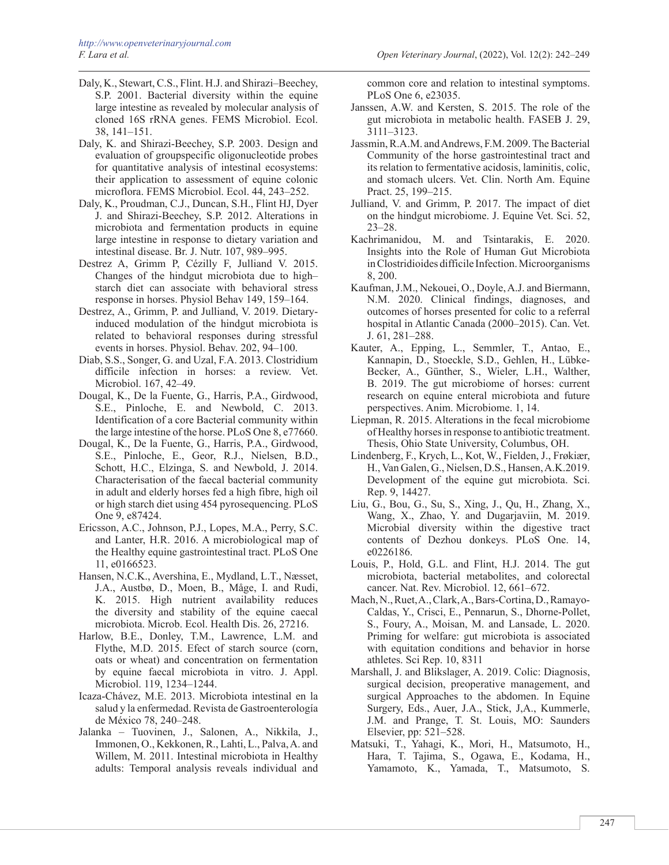- Daly, K., Stewart, C.S., Flint. H.J. and Shirazi–Beechey, S.P. 2001. Bacterial diversity within the equine large intestine as revealed by molecular analysis of cloned 16S rRNA genes. FEMS Microbiol. Ecol. 38, 141–151.
- Daly, K. and Shirazi-Beechey, S.P. 2003. Design and evaluation of groupspecific oligonucleotide probes for quantitative analysis of intestinal ecosystems: their application to assessment of equine colonic microflora. FEMS Microbiol. Ecol. 44, 243–252.
- [Daly,](https://pubmed.ncbi.nlm.nih.gov/?term=Daly+K&cauthor_id=21816118) K., [Proudman](https://pubmed.ncbi.nlm.nih.gov/?term=Proudman+CJ&cauthor_id=21816118), C.J., [Duncan](https://pubmed.ncbi.nlm.nih.gov/?term=Duncan+SH&cauthor_id=21816118), S.H., [Flint](https://pubmed.ncbi.nlm.nih.gov/?term=Flint+HJ&cauthor_id=21816118) HJ, [Dyer](https://pubmed.ncbi.nlm.nih.gov/?term=Dyer+J&cauthor_id=21816118) J. and Shirazi-Beechey, S.P. 2012. Alterations in microbiota and fermentation products in equine large intestine in response to dietary variation and intestinal disease. Br. J. Nutr. 107, 989–995.
- Destrez A, Grimm P, Cézilly F, Julliand V. 2015. Changes of the hindgut microbiota due to high– starch diet can associate with behavioral stress response in horses. Physiol Behav 149, 159–164.
- Destrez, A., Grimm, P. and Julliand, V. 2019. Dietaryinduced modulation of the hindgut microbiota is related to behavioral responses during stressful events in horses. Physiol. Behav. 202, 94–100.
- Diab, S.S., Songer, G. and Uzal, F.A. 2013. Clostridium difficile infection in horses: a review. Vet. Microbiol. 167, 42–49.
- Dougal, K., De la Fuente, G., Harris, P.A., Girdwood, S.E., Pinloche, E. and Newbold, C. 2013. Identification of a core Bacterial community within the large intestine of the horse. PLoS One 8, e77660.
- Dougal, K., De la Fuente, G., Harris, P.A., Girdwood, S.E., Pinloche, E., Geor, R.J., Nielsen, B.D., Schott, H.C., Elzinga, S. and Newbold, J. 2014. Characterisation of the faecal bacterial community in adult and elderly horses fed a high fibre, high oil or high starch diet using 454 pyrosequencing. PLoS One 9, e87424.
- Ericsson, A.C., Johnson, P.J., Lopes, M.A., Perry, S.C. and Lanter, H.R. 2016. A microbiological map of the Healthy equine gastrointestinal tract. PLoS One 11, e0166523.
- [Hansen](https://www.ncbi.nlm.nih.gov/pubmed/?term=Hansen NC%5BAuthor%5D&cauthor=true&cauthor_uid=26246403), N.C.K., [Avershina](https://www.ncbi.nlm.nih.gov/pubmed/?term=Avershina E%5BAuthor%5D&cauthor=true&cauthor_uid=26246403), E., [Mydland,](https://www.ncbi.nlm.nih.gov/pubmed/?term=Mydland LT%5BAuthor%5D&cauthor=true&cauthor_uid=26246403) L.T., [Næsset,](https://www.ncbi.nlm.nih.gov/pubmed/?term=N%26%23x000e6%3Bsset JA%5BAuthor%5D&cauthor=true&cauthor_uid=26246403) J.A., [Austbø,](https://www.ncbi.nlm.nih.gov/pubmed/?term=Austb%26%23x000f8%3B D%5BAuthor%5D&cauthor=true&cauthor_uid=26246403) D., Moen, B., Måge, I. and Rudi, K. 2015. High nutrient availability reduces the diversity and stability of the equine caecal microbiota. Microb. Ecol. Health Dis. 26, 27216.
- Harlow, B.E., Donley, T.M., Lawrence, L.M. and Flythe, M.D. 2015. Efect of starch source (corn, oats or wheat) and concentration on fermentation by equine faecal microbiota in vitro. J. Appl. Microbiol. 119, 1234–1244.
- Icaza-Chávez, M.E. 2013. Microbiota intestinal en la salud y la enfermedad. Revista de Gastroenterología de México 78, 240–248.
- Jalanka Tuovinen, J., Salonen, A., Nikkila, J., Immonen, O., Kekkonen, R., Lahti, L., Palva, A. and Willem, M. 2011. Intestinal microbiota in Healthy adults: Temporal analysis reveals individual and

common core and relation to intestinal symptoms. PLoS One 6, e23035.

- Janssen, A.W. and Kersten, S. 2015. The role of the gut microbiota in metabolic health. FASEB J. 29, 3111–3123.
- Jassmin, R.A.M. and Andrews, F.M. 2009. The Bacterial Community of the horse gastrointestinal tract and its relation to fermentative acidosis, laminitis, colic, and stomach ulcers. Vet. Clin. North Am. Equine Pract. 25, 199–215.
- Julliand, V. and Grimm, P. 2017. The impact of diet on the hindgut microbiome. J. Equine Vet. Sci. 52, 23–28.
- Kachrimanidou, M. and Tsintarakis, E. 2020. Insights into the Role of Human Gut Microbiota inClostridioides difficile Infection. Microorganisms 8, 200.
- Kaufman, J.M., Nekouei, O., Doyle, A.J. and Biermann, N.M. 2020. Clinical findings, diagnoses, and outcomes of horses presented for colic to a referral hospital in Atlantic Canada (2000–2015). Can. Vet. J. 61, 281–288.
- Kauter, A., Epping, L., Semmler, T., Antao, E., Kannapin, D., Stoeckle, S.D., Gehlen, H., Lübke-Becker, A., Günther, S., Wieler, L.H., Walther, B. 2019. The gut microbiome of horses: current research on equine enteral microbiota and future perspectives. Anim. Microbiome. 1, 14.
- Liepman, R. 2015. Alterations in the fecal microbiome of Healthy horses in response to antibiotic treatment. Thesis, Ohio State University, Columbus, OH.
- Lindenberg, F., Krych, L., Kot, W., Fielden, J., Frøkiær, H., Van Galen, G., Nielsen, D.S., Hansen, A.K.2019. Development of the equine gut microbiota. Sci. Rep. 9, 14427.
- Liu, G., Bou, G., Su, S., Xing, J., Qu, H., Zhang, X., Wang, X., Zhao, Y. and Dugarjaviin, M. 2019. Microbial diversity within the digestive tract contents of Dezhou donkeys. PLoS One. 14, e0226186.
- Louis, P., Hold, G.L. and Flint, H.J. 2014. The gut microbiota, bacterial metabolites, and colorectal cancer. Nat. Rev. Microbiol. 12, 661–672.
- Mach, N., Ruet, A., Clark, A., Bars-Cortina, D., Ramayo-Caldas, Y., Crisci, E., Pennarun, S., Dhorne-Pollet, S., Foury, A., Moisan, M. and Lansade, L. 2020. Priming for welfare: gut microbiota is associated with equitation conditions and behavior in horse athletes. Sci Rep. 10, 8311
- Marshall, J. and Blikslager, A. 2019. Colic: Diagnosis, surgical decision, preoperative management, and surgical Approaches to the abdomen. In Equine Surgery, Eds., Auer, J.A., Stick, J,A., Kummerle, J.M. and Prange, T. St. Louis, MO: Saunders Elsevier, pp: 521–528.
- Matsuki, T., Yahagi, K., Mori, H., Matsumoto, H., Hara, T. Tajima, S., Ogawa, E., Kodama, H., Yamamoto, K., Yamada, T., Matsumoto, S.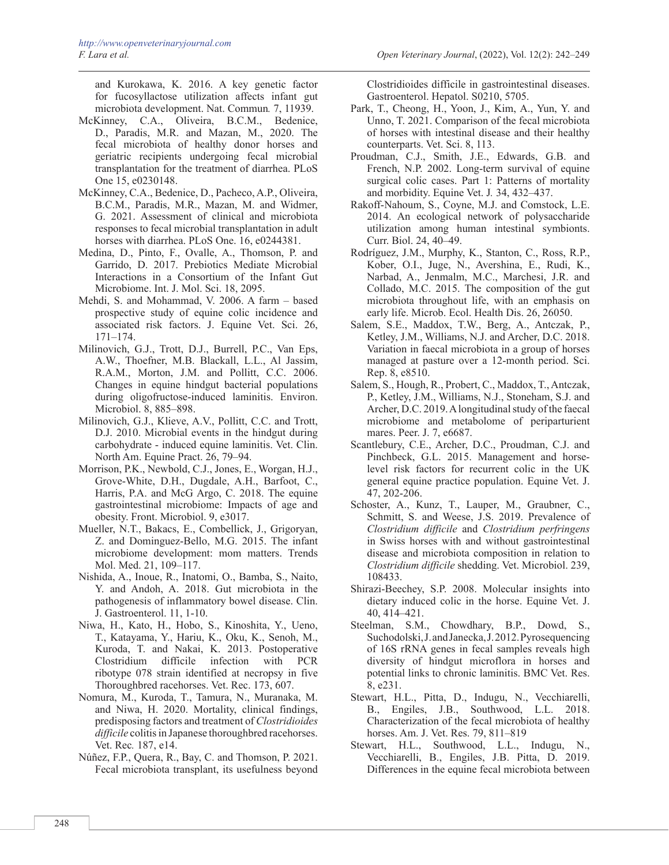and Kurokawa, K. 2016. A key genetic factor for fucosyllactose utilization affects infant gut microbiota development. Nat. Commun*.* 7, 11939.

- McKinney, C.A., Oliveira, B.C.M., Bedenice, D., Paradis, M.R. and Mazan, M., 2020. The fecal microbiota of healthy donor horses and geriatric recipients undergoing fecal microbial transplantation for the treatment of diarrhea. PLoS One 15, e0230148.
- McKinney, C.A., Bedenice, D., Pacheco, A.P., Oliveira, B.C.M., Paradis, M.R., Mazan, M. and Widmer, G. 2021. Assessment of clinical and microbiota responses to fecal microbial transplantation in adult horses with diarrhea. PLoS One. 16, e0244381.
- Medina, D., Pinto, F., Ovalle, A., Thomson, P. and Garrido, D. 2017. Prebiotics Mediate Microbial Interactions in a Consortium of the Infant Gut Microbiome. Int. J. Mol. Sci. 18, 2095.
- Mehdi, S. and Mohammad, V. 2006. A farm based prospective study of equine colic incidence and associated risk factors. J. Equine Vet. Sci. 26, 171–174.
- Milinovich, G.J., Trott, D.J., Burrell, P.C., Van Eps, A.W., Thoefner, M.B. Blackall, L.L., Al Jassim, R.A.M., Morton, J.M. and Pollitt, C.C. 2006. Changes in equine hindgut bacterial populations during oligofructose-induced laminitis. Environ. Microbiol. 8, 885–898.
- Milinovich, G.J., Klieve, A.V., Pollitt, C.C. and Trott, D.J. 2010. Microbial events in the hindgut during carbohydrate - induced equine laminitis. Vet. Clin. North Am. Equine Pract. 26, 79–94.
- Morrison, P.K., Newbold, C.J., Jones, E., Worgan, H.J., Grove-White, D.H., Dugdale, A.H., Barfoot, C., Harris, P.A. and McG Argo, C. 2018. The equine gastrointestinal microbiome: Impacts of age and obesity. Front. Microbiol. 9, e3017.
- Mueller, N.T., Bakacs, E., Combellick, J., Grigoryan, Z. and Dominguez-Bello, M.G. 2015. The infant microbiome development: mom matters. Trends Mol. Med. 21, 109–117.
- Nishida, A., Inoue, R., Inatomi, O., Bamba, S., Naito, Y. and Andoh, A. 2018. Gut microbiota in the pathogenesis of inflammatory bowel disease. Clin. J. Gastroenterol. 11, 1-10.
- Niwa, H., Kato, H., Hobo, S., Kinoshita, Y., Ueno, T., Katayama, Y., Hariu, K., Oku, K., Senoh, M., Kuroda, T. and Nakai, K. 2013. Postoperative Clostridium difficile infection with PCR ribotype 078 strain identified at necropsy in five Thoroughbred racehorses. Vet. Rec. 173, 607.
- Nomura, M., Kuroda, T., Tamura, N., Muranaka, M. and Niwa, H. 2020. Mortality, clinical findings, predisposing factors and treatment of *Clostridioides difficile* colitis in Japanese thoroughbred racehorses. Vet. Rec*.* 187, e14.
- Núñez, F.P., Quera, R., Bay, C. and Thomson, P. 2021. Fecal microbiota transplant, its usefulness beyond

Clostridioides difficile in gastrointestinal diseases. Gastroenterol. Hepatol. S0210, 5705.

- Park, T., Cheong, H., Yoon, J., Kim, A., Yun, Y. and Unno, T. 2021. Comparison of the fecal microbiota of horses with intestinal disease and their healthy counterparts. Vet. Sci. 8, 113.
- Proudman, C.J., Smith, J.E., Edwards, G.B. and French, N.P. 2002. Long-term survival of equine surgical colic cases. Part 1: Patterns of mortality and morbidity. Equine Vet. J*.* 34, 432–437.
- Rakoff-Nahoum, S., Coyne, M.J. and Comstock, L.E. 2014. An ecological network of polysaccharide utilization among human intestinal symbionts. Curr. Biol. 24, 40–49.
- Rodríguez, J.M., Murphy, K., Stanton, C., Ross, R.P., Kober, O.I., Juge, N., Avershina, E., Rudi, K., Narbad, A., Jenmalm, M.C., Marchesi, J.R. and Collado, M.C. 2015. The composition of the gut microbiota throughout life, with an emphasis on early life. Microb. Ecol. Health Dis. 26, 26050.
- Salem, S.E., Maddox, T.W., Berg, A., Antczak, P., Ketley, J.M., Williams, N.J. and Archer, D.C. 2018. Variation in faecal microbiota in a group of horses managed at pasture over a 12-month period. Sci. Rep. 8, e8510.
- Salem, S., Hough, R., Probert, C., Maddox, T., Antczak, P., Ketley, J.M., Williams, N.J., Stoneham, S.J. and Archer, D.C. 2019. A longitudinal study of the faecal microbiome and metabolome of periparturient mares. Peer. J. 7, e6687.
- Scantlebury, C.E., Archer, D.C., Proudman, C.J. and Pinchbeck, G.L. 2015. Management and horselevel risk factors for recurrent colic in the UK general equine practice population. Equine Vet. J. 47, 202-206.
- Schoster, A., Kunz, T., Lauper, M., Graubner, C., Schmitt, S. and Weese, J.S. 2019. Prevalence of *Clostridium difficile* and *Clostridium perfringens* in Swiss horses with and without gastrointestinal disease and microbiota composition in relation to *Clostridium difficile* shedding. Vet. Microbiol. 239, 108433.
- Shirazi-Beechey, S.P. 2008. Molecular insights into dietary induced colic in the horse. Equine Vet. J. 40, 414–421.
- Steelman, S.M., Chowdhary, B.P., Dowd, S., Suchodolski, J. and Janecka, J. 2012. Pyrosequencing of 16S rRNA genes in fecal samples reveals high diversity of hindgut microflora in horses and potential links to chronic laminitis. BMC Vet. Res. 8, e231.
- Stewart, H.L., Pitta, D., Indugu, N., Vecchiarelli, B., Engiles, J.B., Southwood, L.L. 2018. Characterization of the fecal microbiota of healthy horses. Am. J. Vet. Res. 79, 811–819
- Stewart, H.L., Southwood, L.L., Indugu, N., Vecchiarelli, B., Engiles, J.B. Pitta, D. 2019. Differences in the equine fecal microbiota between